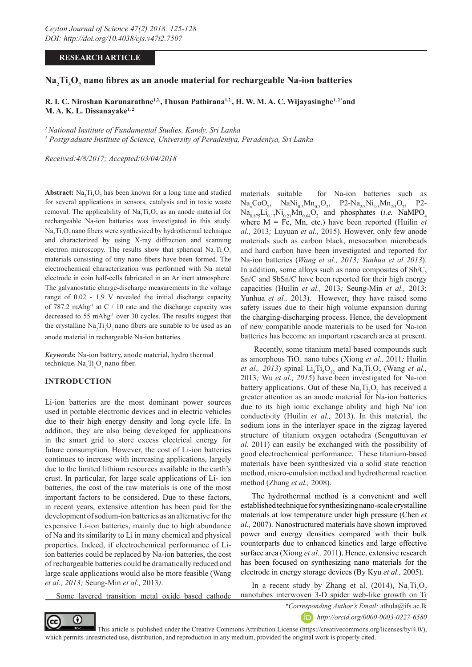## **RESEARCH ARTICLE**

# $\textbf{Na}_2\textbf{Ti}_3\textbf{O}_7$  nano fibres as an anode material for rechargeable Na-ion batteries

## **R. I. C. Niroshan Karunarathne1,2.,Thusan Pathirana1,2., H. W. M. A. C. Wijayasinghe1, 2\*and M. A. K. L. Dissanayake1, 2**

*1 National Institute of Fundamental Studies, Kandy, Sri Lanka*

*2 Postgraduate Institute of Science, University of Peradeniya, Peradeniya, Sri Lanka*

*Received:4/8/2017; Accepted:03/04/2018*

**Abstract:**  $\text{Na}_2\text{Ti}_3\text{O}_7$  has been known for a long time and studied for several applications in sensors, catalysis and in toxic waste removal. The applicability of  $\text{Na}_2 \text{Ti}_3 \text{O}_7$  as an anode material for rechargeable Na-ion batteries was investigated in this study.  $Na<sub>2</sub>Ti<sub>3</sub>O<sub>7</sub>$  nano fibers were synthesized by hydrothermal technique and characterized by using X-ray diffraction and scanning electron microscopy. The results show that spherical  $\text{Na}_2\text{Ti}_3\text{O}_7$ materials consisting of tiny nano fibers have been formed. The electrochemical characterization was performed with Na metal electrode in coin half-cells fabricated in an Ar inert atmosphere. The galvanostatic charge-discharge measurements in the voltage range of 0.02 - 1.9 V revealed the initial discharge capacity of 787.2 mAhg<sup>-1</sup> at  $C / 10$  rate and the discharge capacity was decreased to 55 mAhg-1 over 30 cycles. The results suggest that the crystalline  $\text{Na}_2 \text{Ti}_3 \text{O}_7$  nano fibers are suitable to be used as an anode material in rechargeable Na-ion batteries.

*Keywords:* Na-ion battery, anode material, hydro thermal technique, Na<sub>2</sub>Ti<sub>3</sub>O<sub>7</sub> nano fiber.

## **INTRODUCTION**

Li-ion batteries are the most dominant power sources used in portable electronic devices and in electric vehicles due to their high energy density and long cycle life. In addition, they are also being developed for applications in the smart grid to store excess electrical energy for future consumption. However, the cost of Li-ion batteries continues to increase with increasing applications, largely due to the limited lithium resources available in the earth's crust. In particular, for large scale applications of Li- ion batteries, the cost of the raw materials is one of the most important factors to be considered. Due to these factors, in recent years, extensive attention has been paid for the development of sodium-ion batteries as an alternative for the expensive Li-ion batteries, mainly due to high abundance of Na and its similarity to Li in many chemical and physical properties. Indeed, if electrochemical performance of Liion batteries could be replaced by Na-ion batteries, the cost of rechargeable batteries could be dramatically reduced and large scale applications would also be more feasible (Wang *et al., 2013;* Seung-Min *et al.,* 2013*)*.

Some layered transition metal oxide based cathode

materials suitable for Na-ion batteries such as  $\text{Na}_{x}\text{CoO}_{2}$ ,  $\text{NaNi}_{0.5}\text{Mn}_{0.5}\text{O}_{2}$ ,  $\text{P2-Na}_{2/3}\text{Ni}_{1/3}\text{Mn}_{2/3}\text{O}_{2}$ , P2-  $\text{Na}_{0.875}\text{Li}_{0.17}\text{Ni}_{0.21}\text{Mn}_{0.64}\text{O}_2$  and phosphates (*i.e.* NaMPO<sub>4</sub> where  $M = Fe$ , Mn, etc.) have been reported (Huilin *et al.,* 2013*;* Luyuan *et al.,* 2015). However, only few anode materials such as carbon black, mesocarbon microbeads and hard carbon have been investigated and reported for Na-ion batteries (*Wang et al., 2013; Yunhua et al 2013*). In addition, some alloys such as nano composites of Sb/C, Sn/C and SbSn/C have been reported for their high energy capacities (Huilin *et al.,* 2013*;* Seung-Min *et al.,* 2013; Yunhua et al., 2013). However, they have raised some safety issues due to their high volume expansion during the charging-discharging process. Hence, the development of new compatible anode materials to be used for Na-ion batteries has become an important research area at present.

 Recently, some titanium metal based compounds such as amorphous TiO<sub>2</sub> nano tubes (Xiong *et al.*, 2011; Huilin *et al., 2013*) spinal  $Li_4Ti_5O_{12}$  and  $Na_2Ti_3O_7$  (Wang *et al.,* 2013*;* Wu *et al., 2015*) have been investigated for Na-ion battery applications. Out of these  $\text{Na}_2 \text{Ti}_3 \text{O}_7$  has received a greater attention as an anode material for Na-ion batteries due to its high ionic exchange ability and high  $Na<sup>+</sup>$  ion conductivity (Huilin *et al.,* 2013). In this material, the sodium ions in the interlayer space in the zigzag layered structure of titanium oxygen octahedra (Senguttuvan *et al.* 2011) can easily be exchanged with the possibility of good electrochemical performance. These titanium-based materials have been synthesized via a solid state reaction method, micro-emulsion method and hydrothermal reaction method (Zhang *et al.,* 2008).

The hydrothermal method is a convenient and well established technique for synthesizing nano-scale crystalline materials at low temperature under high pressure (Chen *et al.,* 2007). Nanostructured materials have shown improved power and energy densities compared with their bulk counterparts due to enhanced kinetics and large effective surface area (Xiong *et al.,* 2011). Hence, extensive research has been focused on synthesizing nano materials for the electrode in energy storage devices (By Kyu *et al.,* 2005).

In a recent study by Zhang et al. (2014),  $\text{Na}_2\text{Ti}_3\text{O}_7$ nanotubes interwoven 3-D spider web-like growth on Ti

⋒



 This article is published under the Creative Commons Attribution License (https://creativecommons.org/licenses/by/4.0/), which permits unrestricted use, distribution, and reproduction in any medium, provided the original work is properly cited.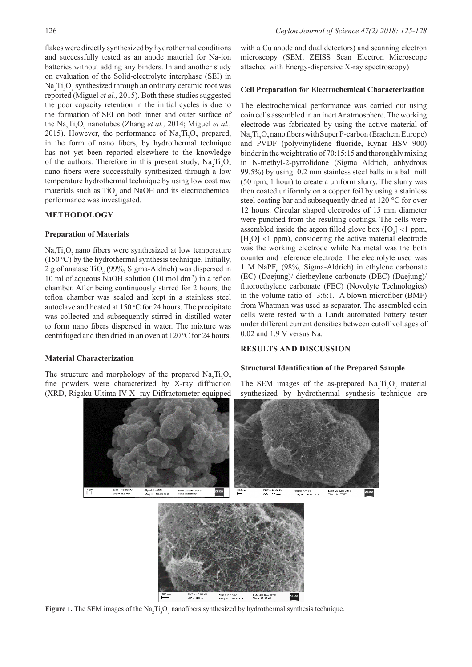flakes were directly synthesized by hydrothermal conditions and successfully tested as an anode material for Na-ion batteries without adding any binders. In and another study on evaluation of the Solid-electrolyte interphase (SEI) in  $\text{Na}_2 \text{Ti}_3 \text{O}_7$  synthesized through an ordinary ceramic root was reported (Miguel *et al.,* 2015). Both these studies suggested the poor capacity retention in the initial cycles is due to the formation of SEI on both inner and outer surface of the Na<sub>2</sub>Ti<sub>3</sub>O<sub>7</sub> nanotubes (Zhang *et al.*, 2014; Miguel *et al.*, 2015). However, the performance of  $\text{Na}_2\text{Ti}_3\text{O}_7$  prepared, in the form of nano fibers, by hydrothermal technique has not yet been reported elsewhere to the knowledge of the authors. Therefore in this present study,  $\text{Na}_2 \text{Ti}_3 \text{O}_7$ nano fibers were successfully synthesized through a low temperature hydrothermal technique by using low cost raw materials such as  $TiO<sub>2</sub>$  and NaOH and its electrochemical performance was investigated.

#### **METHODOLOGY**

#### **Preparation of Materials**

 $\text{Na}_2 \text{Ti}_3 \text{O}_7$  nano fibers were synthesized at low temperature  $(150 °C)$  by the hydrothermal synthesis technique. Initially, 2 g of anatase  $TiO<sub>2</sub>$  (99%, Sigma-Aldrich) was dispersed in 10 ml of aqueous NaOH solution (10 mol dm-3) in a teflon chamber. After being continuously stirred for 2 hours, the teflon chamber was sealed and kept in a stainless steel autoclave and heated at  $150^{\circ}$ C for 24 hours. The precipitate was collected and subsequently stirred in distilled water to form nano fibers dispersed in water. The mixture was centrifuged and then dried in an oven at  $120^{\circ}$ C for 24 hours.

## **Material Characterization**

The structure and morphology of the prepared  $\text{Na}_2\text{Ti}_3\text{O}_7$ fine powders were characterized by X-ray diffraction (XRD, Rigaku Ultima IV X- ray Diffractometer equipped

with a Cu anode and dual detectors) and scanning electron microscopy (SEM, ZEISS Scan Electron Microscope attached with Energy-dispersive X-ray spectroscopy)

#### **Cell Preparation for Electrochemical Characterization**

The electrochemical performance was carried out using coin cells assembled in an inert Ar atmosphere. The working electrode was fabricated by using the active material of  $\text{Na}_2 \text{Ti}_3 \text{O}_7$  nano fibers with Super P-carbon (Erachem Europe) and PVDF (polyvinylidene fluoride, Kynar HSV 900) binder in the weight ratio of 70:15:15 and thoroughly mixing in N-methyl-2-pyrrolidone (Sigma Aldrich, anhydrous 99.5%) by using 0.2 mm stainless steel balls in a ball mill (50 rpm, 1 hour) to create a uniform slurry. The slurry was then coated uniformly on a copper foil by using a stainless steel coating bar and subsequently dried at 120 °C for over 12 hours. Circular shaped electrodes of 15 mm diameter were punched from the resulting coatings. The cells were assembled inside the argon filled glove box  $([O_2] < 1$  ppm,  $[H_2O]$  <1 ppm), considering the active material electrode was the working electrode while Na metal was the both counter and reference electrode. The electrolyte used was  $1$  M NaPF<sub>6</sub> (98%, Sigma-Aldrich) in ethylene carbonate (EC) (Daejung)/ dietheylene carbonate (DEC) (Daejung)/ fluoroethylene carbonate (FEC) (Novolyte Technologies) in the volume ratio of 3:6:1. A blown microfiber (BMF) from Whatman was used as separator. The assembled coin cells were tested with a Landt automated battery tester under different current densities between cutoff voltages of 0.02 and 1.9 V versus Na.

#### **RESULTS AND DISCUSSION**

#### **Structural Identification of the Prepared Sample**

The SEM images of the as-prepared  $\text{Na}_2\text{Ti}_3\text{O}_7$  material synthesized by hydrothermal synthesis technique are



**Figure 1.** The SEM images of the  $\text{Na}_2\text{Ti}_3\text{O}_7$  nanofibers synthesized by hydrothermal synthesis technique.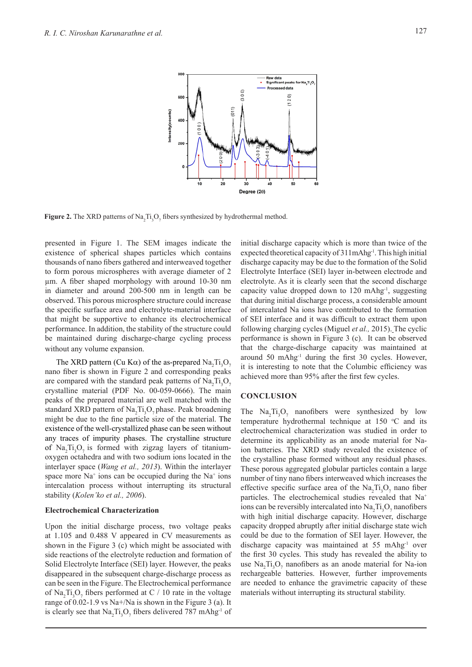

**Figure 2.** The XRD patterns of  $\text{Na}_2\text{Ti}_3\text{O}_7$  fibers synthesized by hydrothermal method.

presented in Figure 1. The SEM images indicate the existence of spherical shapes particles which contains thousands of nano fibers gathered and interweaved together to form porous microspheres with average diameter of 2 µm. A fiber shaped morphology with around 10-30 nm in diameter and around 200-500 nm in length can be observed. This porous microsphere structure could increase the specific surface area and electrolyte-material interface that might be supportive to enhance its electrochemical performance. In addition, the stability of the structure could be maintained during discharge-charge cycling process without any volume expansion.

The XRD pattern (Cu K $\alpha$ ) of the as-prepared  $\text{Na}_2\text{Ti}_3\text{O}_7$ nano fiber is shown in Figure 2 and corresponding peaks are compared with the standard peak patterns of  $\text{Na}_2\text{Ti}_3\text{O}_7$ crystalline material (PDF No. 00-059-0666). The main peaks of the prepared material are well matched with the standard XRD pattern of  $\text{Na}_2 \text{Ti}_3 \text{O}_7$  phase. Peak broadening might be due to the fine particle size of the material. The existence of the well-crystallized phase can be seen without any traces of impurity phases. The crystalline structure of  $\text{Na}_2 \text{Ti}_3 \text{O}_7$  is formed with zigzag layers of titaniumoxygen octahedra and with two sodium ions located in the interlayer space (*Wang et al., 2013*). Within the interlayer space more  $Na<sup>+</sup>$  ions can be occupied during the  $Na<sup>+</sup>$  ions intercalation process without interrupting its structural stability (*Kolen'ko et al., 2006*).

#### **Electrochemical Characterization**

Upon the initial discharge process, two voltage peaks at 1.105 and 0.488 V appeared in CV measurements as shown in the Figure 3 (c) which might be associated with side reactions of the electrolyte reduction and formation of Solid Electrolyte Interface (SEI) layer. However, the peaks disappeared in the subsequent charge-discharge process as can be seen in the Figure. The Electrochemical performance of  $\text{Na}_2 \text{Ti}_3 \text{O}_7$  fibers performed at C / 10 rate in the voltage range of 0.02-1.9 vs Na+/Na is shown in the Figure 3 (a). It is clearly see that  $\text{Na}_2 \text{Ti}_3 \text{O}_7$  fibers delivered 787 mAhg<sup>-1</sup> of initial discharge capacity which is more than twice of the expected theoretical capacity of  $311 \text{mAhg}^{-1}$ . This high initial discharge capacity may be due to the formation of the Solid Electrolyte Interface (SEI) layer in-between electrode and electrolyte. As it is clearly seen that the second discharge capacity value dropped down to  $120 \text{ m}$ Ahg<sup>-1</sup>, suggesting that during initial discharge process, a considerable amount of intercalated Na ions have contributed to the formation of SEI interface and it was difficult to extract them upon following charging cycles (Miguel *et al.,* 2015). The cyclic performance is shown in Figure 3 (c). It can be observed that the charge-discharge capacity was maintained at around 50 mAhg-1 during the first 30 cycles. However, it is interesting to note that the Columbic efficiency was achieved more than 95% after the first few cycles.

## **CONCLUSION**

The  $\text{Na}_2 \text{Ti}_3 \text{O}_7$  nanofibers were synthesized by low temperature hydrothermal technique at  $150$  °C and its electrochemical characterization was studied in order to determine its applicability as an anode material for Naion batteries. The XRD study revealed the existence of the crystalline phase formed without any residual phases. These porous aggregated globular particles contain a large number of tiny nano fibers interweaved which increases the effective specific surface area of the  $\text{Na}_2\text{Ti}_3\text{O}_7$  nano fiber particles. The electrochemical studies revealed that Na<sup>+</sup> ions can be reversibly intercalated into  $\text{Na}_2 \text{Ti}_3 \text{O}_7$  nanofibers with high initial discharge capacity. However, discharge capacity dropped abruptly after initial discharge state wich could be due to the formation of SEI layer. However, the discharge capacity was maintained at 55 mAhg<sup>-1</sup> over the first 30 cycles. This study has revealed the ability to use  $\text{Na}_2 \text{Ti}_3 \text{O}_7$  nanofibers as an anode material for Na-ion rechargeable batteries. However, further improvements are needed to enhance the gravimetric capacity of these materials without interrupting its structural stability.